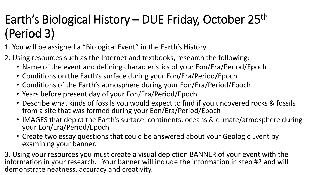## Earth's Biological History – DUE Friday, October 25<sup>th</sup> (Period 3)

1. You will be assigned a "Biological Event" in the Earth's History

- 2. Using resources such as the Internet and textbooks, research the following:
	- Name of the event and defining characteristics of your Eon/Era/Period/Epoch
	- Conditions on the Earth's surface during your Eon/Era/Period/Epoch
	- Conditions of the Earth's atmosphere during your Eon/Era/Period/Epoch
	- Years before present day of your Eon/Era/Period/Epoch
	- Describe what kinds of fossils you would expect to find if you uncovered rocks & fossils from a site that was formed during your Eon/Era/Period/Epoch
	- IMAGES that depict the Earth's surface; continents, oceans & climate/atmosphere during your Eon/Era/Period/Epoch
	- Create two essay questions that could be answered about your Geologic Event by examining your banner.

3. Using your resources you must create a visual depiction BANNER of your event with the information in your research. Your banner will include the information in step #2 and will demonstrate neatness, accuracy and creativity.